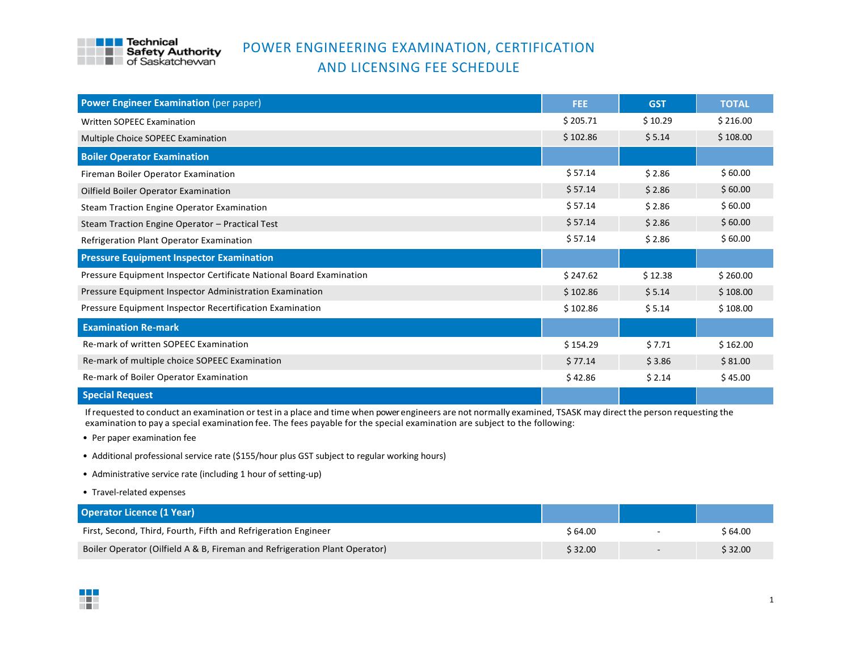

## POWER ENGINEERING EXAMINATION, CERTIFICATION AND LICENSING FEE SCHEDULE

| <b>Power Engineer Examination (per paper)</b>                       | FEE.     | <b>GST</b> | <b>TOTAL</b> |
|---------------------------------------------------------------------|----------|------------|--------------|
| Written SOPEEC Examination                                          | \$205.71 | \$10.29    | \$216.00     |
| Multiple Choice SOPEEC Examination                                  | \$102.86 | \$5.14     | \$108.00     |
| <b>Boiler Operator Examination</b>                                  |          |            |              |
| Fireman Boiler Operator Examination                                 | \$57.14  | \$2.86     | \$60.00      |
| Oilfield Boiler Operator Examination                                | \$57.14  | \$2.86     | \$60.00      |
| <b>Steam Traction Engine Operator Examination</b>                   | \$57.14  | \$2.86     | \$60.00      |
| Steam Traction Engine Operator - Practical Test                     | \$57.14  | \$2.86     | \$60.00      |
| Refrigeration Plant Operator Examination                            | \$57.14  | \$2.86     | \$60.00      |
| <b>Pressure Equipment Inspector Examination</b>                     |          |            |              |
| Pressure Equipment Inspector Certificate National Board Examination | \$247.62 | \$12.38    | \$260.00     |
| Pressure Equipment Inspector Administration Examination             | \$102.86 | \$5.14     | \$108.00     |
| Pressure Equipment Inspector Recertification Examination            | \$102.86 | \$5.14     | \$108.00     |
| <b>Examination Re-mark</b>                                          |          |            |              |
| Re-mark of written SOPEEC Examination                               | \$154.29 | \$7.71     | \$162.00     |
| Re-mark of multiple choice SOPEEC Examination                       | \$77.14  | \$3.86     | \$81.00      |
| Re-mark of Boiler Operator Examination                              | \$42.86  | \$2.14     | \$45.00      |
| <b>Special Request</b>                                              |          |            |              |

Ifrequested to conduct an examination ortest in a place and time when power engineers are not normally examined, TSASK may directthe person requesting the examination to pay a special examination fee. The fees payable for the special examination are subject to the following:

- **Per paper examination fee**
- Additional professional service rate (\$155/hour plus GST subject to regular working hours)
- Administrative service rate (including 1 hour of setting-up)
- Travel-related expenses

| <b>Operator Licence (1 Year)</b>                                           |          |                          |         |
|----------------------------------------------------------------------------|----------|--------------------------|---------|
| First, Second, Third, Fourth, Fifth and Refrigeration Engineer             | \$ 64.00 |                          | \$64.00 |
| Boiler Operator (Oilfield A & B, Fireman and Refrigeration Plant Operator) | \$32.00  | $\overline{\phantom{0}}$ | \$32.00 |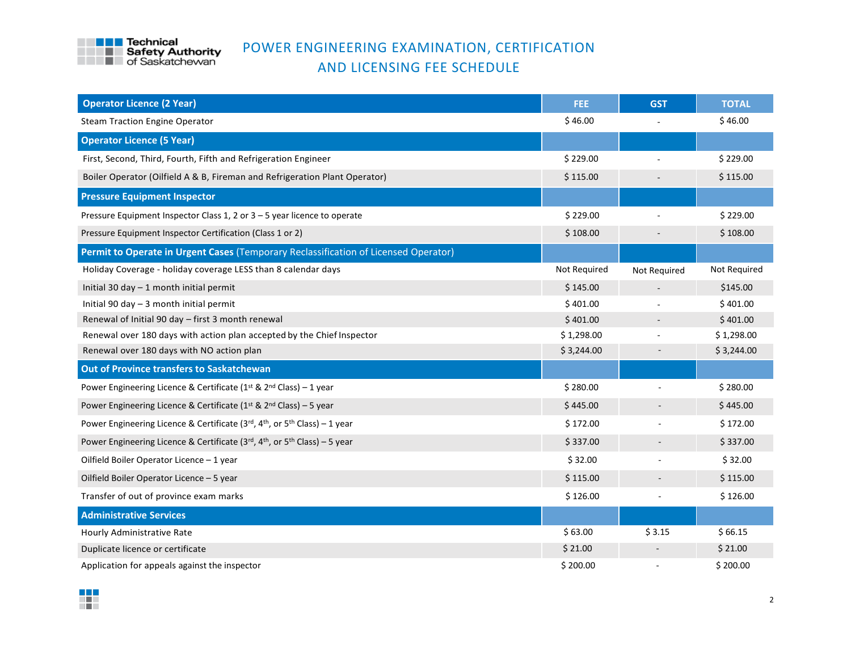

## POWER ENGINEERING EXAMINATION, CERTIFICATION AND LICENSING FEE SCHEDULE

| <b>Operator Licence (2 Year)</b>                                                                   | FEE:         | <b>GST</b>               | <b>TOTAL</b> |
|----------------------------------------------------------------------------------------------------|--------------|--------------------------|--------------|
| <b>Steam Traction Engine Operator</b>                                                              | \$46.00      |                          | \$46.00      |
| <b>Operator Licence (5 Year)</b>                                                                   |              |                          |              |
| First, Second, Third, Fourth, Fifth and Refrigeration Engineer                                     | \$229.00     |                          | \$229.00     |
| Boiler Operator (Oilfield A & B, Fireman and Refrigeration Plant Operator)                         | \$115.00     |                          | \$115.00     |
| <b>Pressure Equipment Inspector</b>                                                                |              |                          |              |
| Pressure Equipment Inspector Class 1, 2 or 3 - 5 year licence to operate                           | \$229.00     |                          | \$229.00     |
| Pressure Equipment Inspector Certification (Class 1 or 2)                                          | \$108.00     |                          | \$108.00     |
| Permit to Operate in Urgent Cases (Temporary Reclassification of Licensed Operator)                |              |                          |              |
| Holiday Coverage - holiday coverage LESS than 8 calendar days                                      | Not Required | Not Required             | Not Required |
| Initial 30 day - 1 month initial permit                                                            | \$145.00     |                          | \$145.00     |
| Initial 90 day $-$ 3 month initial permit                                                          | \$401.00     |                          | \$401.00     |
| Renewal of Initial 90 day - first 3 month renewal                                                  | \$401.00     |                          | \$401.00     |
| Renewal over 180 days with action plan accepted by the Chief Inspector                             | \$1,298.00   |                          | \$1,298.00   |
| Renewal over 180 days with NO action plan                                                          | \$3,244.00   |                          | \$3,244.00   |
| Out of Province transfers to Saskatchewan                                                          |              |                          |              |
| Power Engineering Licence & Certificate ( $1^{st}$ & $2^{nd}$ Class) – 1 year                      | \$280.00     |                          | \$280.00     |
| Power Engineering Licence & Certificate ( $1^{st}$ & $2^{nd}$ Class) – 5 year                      | \$445.00     |                          | \$445.00     |
| Power Engineering Licence & Certificate ( $3rd$ , $4th$ , or $5th$ Class) – 1 year                 | \$172.00     | ÷,                       | \$172.00     |
| Power Engineering Licence & Certificate (3rd, 4 <sup>th</sup> , or 5 <sup>th</sup> Class) - 5 year | \$337.00     | $\overline{\phantom{a}}$ | \$337.00     |
| Oilfield Boiler Operator Licence - 1 year                                                          | \$32.00      |                          | \$32.00      |
| Oilfield Boiler Operator Licence - 5 year                                                          | \$115.00     |                          | \$115.00     |
| Transfer of out of province exam marks                                                             | \$126.00     |                          | \$126.00     |
| <b>Administrative Services</b>                                                                     |              |                          |              |
| Hourly Administrative Rate                                                                         | \$63.00      | \$3.15                   | \$66.15      |
| Duplicate licence or certificate                                                                   | \$21.00      |                          | \$21.00      |
| Application for appeals against the inspector                                                      | \$200.00     |                          | \$200.00     |